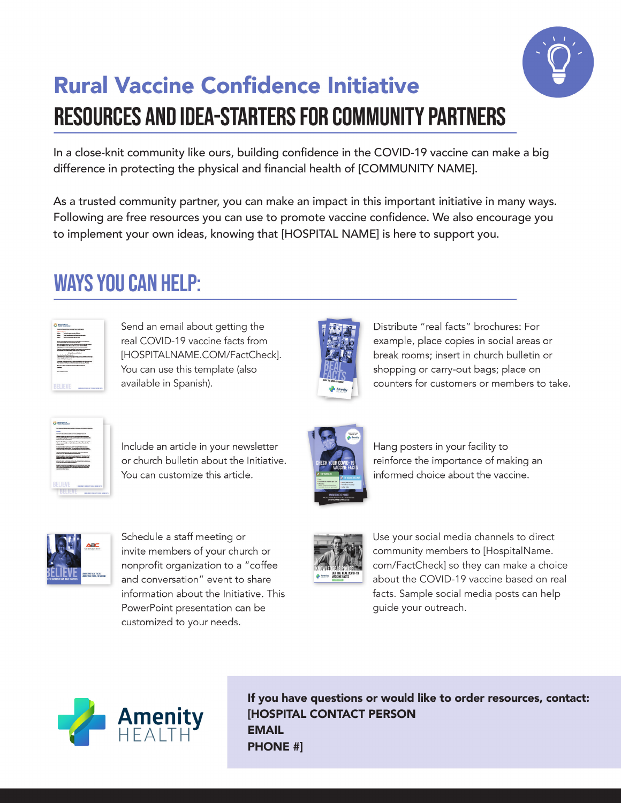

# **Rural Vaccine Confidence Initiative RESOURCES AND IDEA-STARTERS FOR COMMUNITY PARTNERS**

In a close-knit community like ours, building confidence in the COVID-19 vaccine can make a big difference in protecting the physical and financial health of [COMMUNITY NAME].

As a trusted community partner, you can make an impact in this important initiative in many ways. Following are free resources you can use to promote vaccine confidence. We also encourage you to implement your own ideas, knowing that [HOSPITAL NAME] is here to support you.

## **WAYS YOU CAN HELP:**



Send an email about getting the real COVID-19 vaccine facts from [HOSPITALNAME.COM/FactCheck]. You can use this template (also available in Spanish).



Distribute "real facts" brochures: For example, place copies in social areas or break rooms; insert in church bulletin or shopping or carry-out bags; place on counters for customers or members to take.



Include an article in your newsletter or church bulletin about the Initiative. You can customize this article.



Hang posters in your facility to reinforce the importance of making an informed choice about the vaccine.



Schedule a staff meeting or invite members of your church or nonprofit organization to a "coffee and conversation" event to share information about the Initiative. This PowerPoint presentation can be customized to your needs.



Use your social media channels to direct community members to [HospitalName. com/FactCheck] so they can make a choice about the COVID-19 vaccine based on real facts. Sample social media posts can help guide your outreach.



If you have questions or would like to order resources, contact: [HOSPITAL CONTACT PERSON **EMAIL** PHONE #]